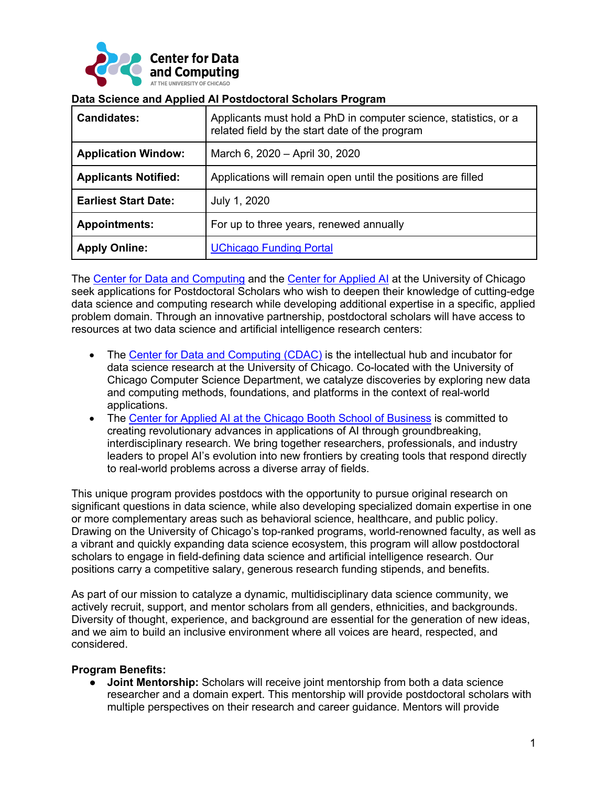

| <b>Candidates:</b>          | Applicants must hold a PhD in computer science, statistics, or a<br>related field by the start date of the program |
|-----------------------------|--------------------------------------------------------------------------------------------------------------------|
| <b>Application Window:</b>  | March 6, 2020 - April 30, 2020                                                                                     |
| <b>Applicants Notified:</b> | Applications will remain open until the positions are filled                                                       |
| <b>Earliest Start Date:</b> | July 1, 2020                                                                                                       |
| <b>Appointments:</b>        | For up to three years, renewed annually                                                                            |
| <b>Apply Online:</b>        | <b>UChicago Funding Portal</b>                                                                                     |

#### **Data Science and Applied AI Postdoctoral Scholars Program**

The Center for Data and Computing and the Center for Applied AI at the University of Chicago seek applications for Postdoctoral Scholars who wish to deepen their knowledge of cutting-edge data science and computing research while developing additional expertise in a specific, applied problem domain. Through an innovative partnership, postdoctoral scholars will have access to resources at two data science and artificial intelligence research centers:

- The Center for Data and Computing (CDAC) is the intellectual hub and incubator for data science research at the University of Chicago. Co-located with the University of Chicago Computer Science Department, we catalyze discoveries by exploring new data and computing methods, foundations, and platforms in the context of real-world applications.
- The Center for Applied AI at the Chicago Booth School of Business is committed to creating revolutionary advances in applications of AI through groundbreaking, interdisciplinary research. We bring together researchers, professionals, and industry leaders to propel AI's evolution into new frontiers by creating tools that respond directly to real-world problems across a diverse array of fields.

This unique program provides postdocs with the opportunity to pursue original research on significant questions in data science, while also developing specialized domain expertise in one or more complementary areas such as behavioral science, healthcare, and public policy. Drawing on the University of Chicago's top-ranked programs, world-renowned faculty, as well as a vibrant and quickly expanding data science ecosystem, this program will allow postdoctoral scholars to engage in field-defining data science and artificial intelligence research. Our positions carry a competitive salary, generous research funding stipends, and benefits.

As part of our mission to catalyze a dynamic, multidisciplinary data science community, we actively recruit, support, and mentor scholars from all genders, ethnicities, and backgrounds. Diversity of thought, experience, and background are essential for the generation of new ideas, and we aim to build an inclusive environment where all voices are heard, respected, and considered.

## **Program Benefits:**

● **Joint Mentorship:** Scholars will receive joint mentorship from both a data science researcher and a domain expert. This mentorship will provide postdoctoral scholars with multiple perspectives on their research and career guidance. Mentors will provide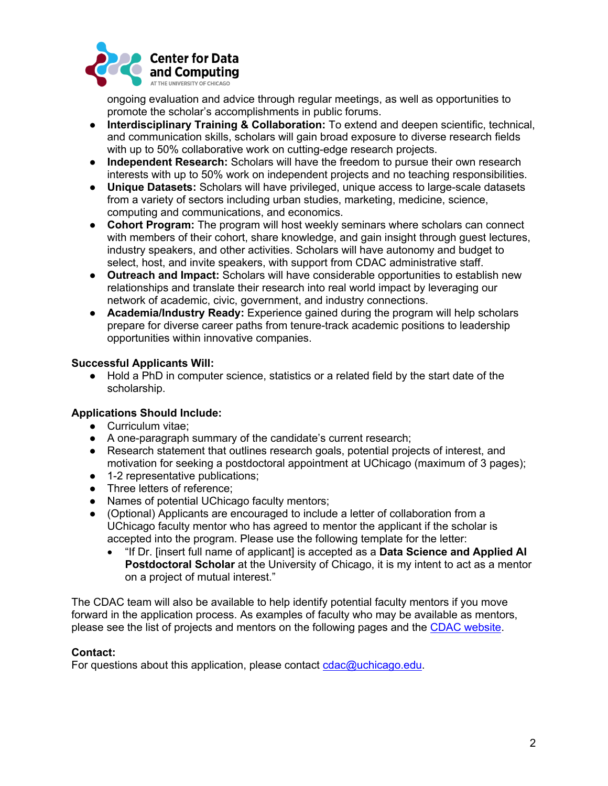

ongoing evaluation and advice through regular meetings, as well as opportunities to promote the scholar's accomplishments in public forums.

- **Interdisciplinary Training & Collaboration:** To extend and deepen scientific, technical, and communication skills, scholars will gain broad exposure to diverse research fields with up to 50% collaborative work on cutting-edge research projects.
- **Independent Research:** Scholars will have the freedom to pursue their own research interests with up to 50% work on independent projects and no teaching responsibilities.
- **Unique Datasets:** Scholars will have privileged, unique access to large-scale datasets from a variety of sectors including urban studies, marketing, medicine, science, computing and communications, and economics.
- **Cohort Program:** The program will host weekly seminars where scholars can connect with members of their cohort, share knowledge, and gain insight through guest lectures, industry speakers, and other activities. Scholars will have autonomy and budget to select, host, and invite speakers, with support from CDAC administrative staff.
- **Outreach and Impact:** Scholars will have considerable opportunities to establish new relationships and translate their research into real world impact by leveraging our network of academic, civic, government, and industry connections.
- **Academia/Industry Ready:** Experience gained during the program will help scholars prepare for diverse career paths from tenure-track academic positions to leadership opportunities within innovative companies.

## **Successful Applicants Will:**

● Hold a PhD in computer science, statistics or a related field by the start date of the scholarship.

## **Applications Should Include:**

- Curriculum vitae;
- A one-paragraph summary of the candidate's current research;
- Research statement that outlines research goals, potential projects of interest, and motivation for seeking a postdoctoral appointment at UChicago (maximum of 3 pages);
- 1-2 representative publications;
- Three letters of reference;
- Names of potential UChicago faculty mentors;
- (Optional) Applicants are encouraged to include a letter of collaboration from a UChicago faculty mentor who has agreed to mentor the applicant if the scholar is accepted into the program. Please use the following template for the letter:
	- "If Dr. [insert full name of applicant] is accepted as a **Data Science and Applied AI Postdoctoral Scholar** at the University of Chicago, it is my intent to act as a mentor on a project of mutual interest."

The CDAC team will also be available to help identify potential faculty mentors if you move forward in the application process. As examples of faculty who may be available as mentors, please see the list of projects and mentors on the following pages and the CDAC website.

## **Contact:**

For questions about this application, please contact  $cdac@uchicago.edu$ .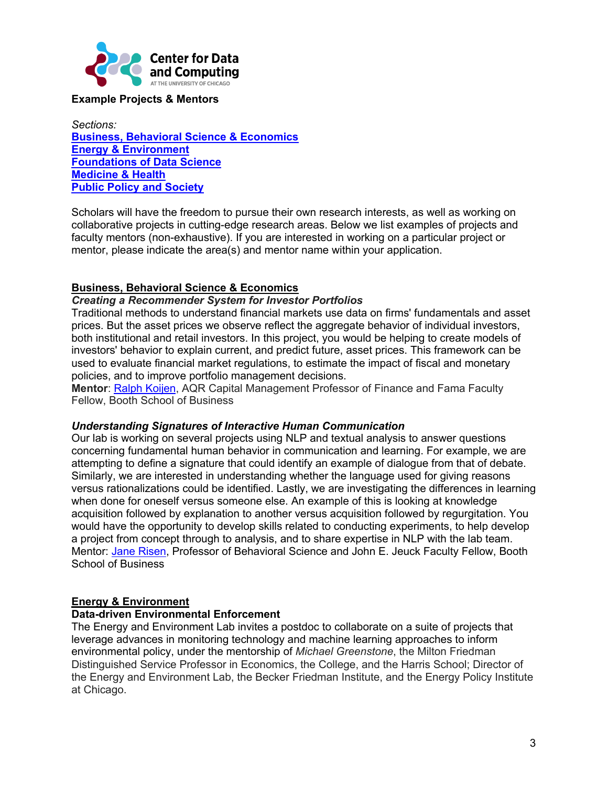

# **Example Projects & Mentors**

*Sections:* **Business, Behavioral Science & Economics Energy & Environment Foundations of Data Science Medicine & Health Public Policy and Society**

Scholars will have the freedom to pursue their own research interests, as well as working on collaborative projects in cutting-edge research areas. Below we list examples of projects and faculty mentors (non-exhaustive). If you are interested in working on a particular project or mentor, please indicate the area(s) and mentor name within your application.

## **Business, Behavioral Science & Economics**

#### *Creating a Recommender System for Investor Portfolios*

Traditional methods to understand financial markets use data on firms' fundamentals and asset prices. But the asset prices we observe reflect the aggregate behavior of individual investors, both institutional and retail investors. In this project, you would be helping to create models of investors' behavior to explain current, and predict future, asset prices. This framework can be used to evaluate financial market regulations, to estimate the impact of fiscal and monetary policies, and to improve portfolio management decisions.

**Mentor**: Ralph Koijen, AQR Capital Management Professor of Finance and Fama Faculty Fellow, Booth School of Business

## *Understanding Signatures of Interactive Human Communication*

Our lab is working on several projects using NLP and textual analysis to answer questions concerning fundamental human behavior in communication and learning. For example, we are attempting to define a signature that could identify an example of dialogue from that of debate. Similarly, we are interested in understanding whether the language used for giving reasons versus rationalizations could be identified. Lastly, we are investigating the differences in learning when done for oneself versus someone else. An example of this is looking at knowledge acquisition followed by explanation to another versus acquisition followed by regurgitation. You would have the opportunity to develop skills related to conducting experiments, to help develop a project from concept through to analysis, and to share expertise in NLP with the lab team. Mentor: Jane Risen, Professor of Behavioral Science and John E. Jeuck Faculty Fellow, Booth School of Business

## **Energy & Environment**

#### **Data-driven Environmental Enforcement**

The Energy and Environment Lab invites a postdoc to collaborate on a suite of projects that leverage advances in monitoring technology and machine learning approaches to inform environmental policy, under the mentorship of *Michael Greenstone*, the Milton Friedman Distinguished Service Professor in Economics, the College, and the Harris School; Director of the Energy and Environment Lab, the Becker Friedman Institute, and the Energy Policy Institute at Chicago.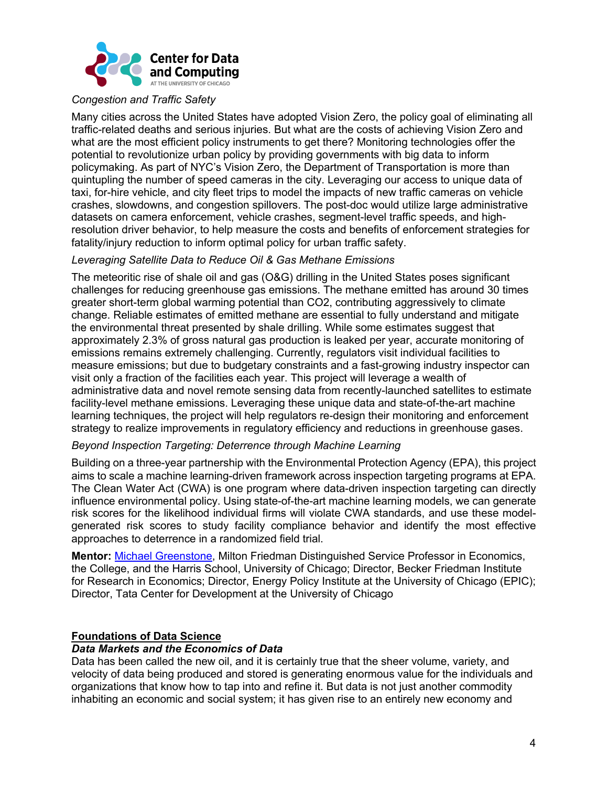

#### *Congestion and Traffic Safety*

Many cities across the United States have adopted Vision Zero, the policy goal of eliminating all traffic-related deaths and serious injuries. But what are the costs of achieving Vision Zero and what are the most efficient policy instruments to get there? Monitoring technologies offer the potential to revolutionize urban policy by providing governments with big data to inform policymaking. As part of NYC's Vision Zero, the Department of Transportation is more than quintupling the number of speed cameras in the city. Leveraging our access to unique data of taxi, for-hire vehicle, and city fleet trips to model the impacts of new traffic cameras on vehicle crashes, slowdowns, and congestion spillovers. The post-doc would utilize large administrative datasets on camera enforcement, vehicle crashes, segment-level traffic speeds, and highresolution driver behavior, to help measure the costs and benefits of enforcement strategies for fatality/injury reduction to inform optimal policy for urban traffic safety.

#### *Leveraging Satellite Data to Reduce Oil & Gas Methane Emissions*

The meteoritic rise of shale oil and gas (O&G) drilling in the United States poses significant challenges for reducing greenhouse gas emissions. The methane emitted has around 30 times greater short-term global warming potential than CO2, contributing aggressively to climate change. Reliable estimates of emitted methane are essential to fully understand and mitigate the environmental threat presented by shale drilling. While some estimates suggest that approximately 2.3% of gross natural gas production is leaked per year, accurate monitoring of emissions remains extremely challenging. Currently, regulators visit individual facilities to measure emissions; but due to budgetary constraints and a fast-growing industry inspector can visit only a fraction of the facilities each year. This project will leverage a wealth of administrative data and novel remote sensing data from recently-launched satellites to estimate facility-level methane emissions. Leveraging these unique data and state-of-the-art machine learning techniques, the project will help regulators re-design their monitoring and enforcement strategy to realize improvements in regulatory efficiency and reductions in greenhouse gases.

#### *Beyond Inspection Targeting: Deterrence through Machine Learning*

Building on a three-year partnership with the Environmental Protection Agency (EPA), this project aims to scale a machine learning-driven framework across inspection targeting programs at EPA. The Clean Water Act (CWA) is one program where data-driven inspection targeting can directly influence environmental policy. Using state-of-the-art machine learning models, we can generate risk scores for the likelihood individual firms will violate CWA standards, and use these modelgenerated risk scores to study facility compliance behavior and identify the most effective approaches to deterrence in a randomized field trial.

**Mentor:** Michael Greenstone, Milton Friedman Distinguished Service Professor in Economics, the College, and the Harris School, University of Chicago; Director, Becker Friedman Institute for Research in Economics; Director, Energy Policy Institute at the University of Chicago (EPIC); Director, Tata Center for Development at the University of Chicago

## **Foundations of Data Science**

#### *Data Markets and the Economics of Data*

Data has been called the new oil, and it is certainly true that the sheer volume, variety, and velocity of data being produced and stored is generating enormous value for the individuals and organizations that know how to tap into and refine it. But data is not just another commodity inhabiting an economic and social system; it has given rise to an entirely new economy and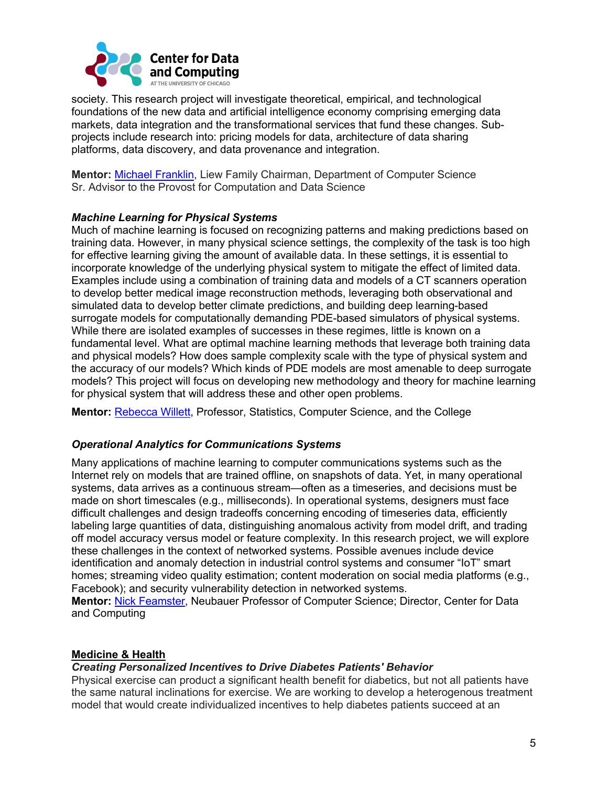

society. This research project will investigate theoretical, empirical, and technological foundations of the new data and artificial intelligence economy comprising emerging data markets, data integration and the transformational services that fund these changes. Subprojects include research into: pricing models for data, architecture of data sharing platforms, data discovery, and data provenance and integration.

**Mentor:** Michael Franklin, Liew Family Chairman, Department of Computer Science Sr. Advisor to the Provost for Computation and Data Science

## *Machine Learning for Physical Systems*

Much of machine learning is focused on recognizing patterns and making predictions based on training data. However, in many physical science settings, the complexity of the task is too high for effective learning giving the amount of available data. In these settings, it is essential to incorporate knowledge of the underlying physical system to mitigate the effect of limited data. Examples include using a combination of training data and models of a CT scanners operation to develop better medical image reconstruction methods, leveraging both observational and simulated data to develop better climate predictions, and building deep learning-based surrogate models for computationally demanding PDE-based simulators of physical systems. While there are isolated examples of successes in these regimes, little is known on a fundamental level. What are optimal machine learning methods that leverage both training data and physical models? How does sample complexity scale with the type of physical system and the accuracy of our models? Which kinds of PDE models are most amenable to deep surrogate models? This project will focus on developing new methodology and theory for machine learning for physical system that will address these and other open problems.

**Mentor:** Rebecca Willett, Professor, Statistics, Computer Science, and the College

## *Operational Analytics for Communications Systems*

Many applications of machine learning to computer communications systems such as the Internet rely on models that are trained offline, on snapshots of data. Yet, in many operational systems, data arrives as a continuous stream—often as a timeseries, and decisions must be made on short timescales (e.g., milliseconds). In operational systems, designers must face difficult challenges and design tradeoffs concerning encoding of timeseries data, efficiently labeling large quantities of data, distinguishing anomalous activity from model drift, and trading off model accuracy versus model or feature complexity. In this research project, we will explore these challenges in the context of networked systems. Possible avenues include device identification and anomaly detection in industrial control systems and consumer "IoT" smart homes; streaming video quality estimation; content moderation on social media platforms (e.g., Facebook); and security vulnerability detection in networked systems. **Mentor:** Nick Feamster, Neubauer Professor of Computer Science; Director, Center for Data

and Computing

## **Medicine & Health**

#### *Creating Personalized Incentives to Drive Diabetes Patients' Behavior*

Physical exercise can product a significant health benefit for diabetics, but not all patients have the same natural inclinations for exercise. We are working to develop a heterogenous treatment model that would create individualized incentives to help diabetes patients succeed at an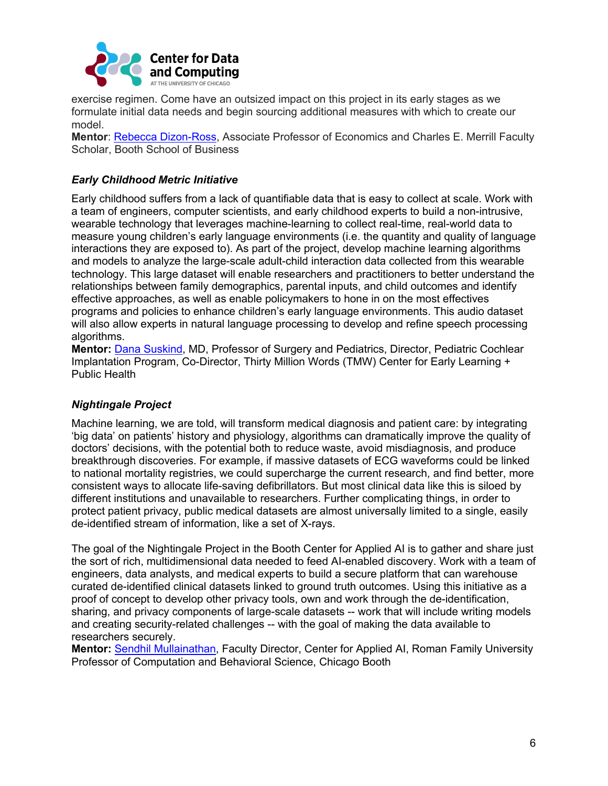

exercise regimen. Come have an outsized impact on this project in its early stages as we formulate initial data needs and begin sourcing additional measures with which to create our model.

**Mentor**: Rebecca Dizon-Ross, Associate Professor of Economics and Charles E. Merrill Faculty Scholar, Booth School of Business

# *Early Childhood Metric Initiative*

Early childhood suffers from a lack of quantifiable data that is easy to collect at scale. Work with a team of engineers, computer scientists, and early childhood experts to build a non-intrusive, wearable technology that leverages machine-learning to collect real-time, real-world data to measure young children's early language environments (i.e. the quantity and quality of language interactions they are exposed to). As part of the project, develop machine learning algorithms and models to analyze the large-scale adult-child interaction data collected from this wearable technology. This large dataset will enable researchers and practitioners to better understand the relationships between family demographics, parental inputs, and child outcomes and identify effective approaches, as well as enable policymakers to hone in on the most effectives programs and policies to enhance children's early language environments. This audio dataset will also allow experts in natural language processing to develop and refine speech processing algorithms.

**Mentor:** Dana Suskind, MD, Professor of Surgery and Pediatrics, Director, Pediatric Cochlear Implantation Program, Co-Director, Thirty Million Words (TMW) Center for Early Learning + Public Health

## *Nightingale Project*

Machine learning, we are told, will transform medical diagnosis and patient care: by integrating 'big data' on patients' history and physiology, algorithms can dramatically improve the quality of doctors' decisions, with the potential both to reduce waste, avoid misdiagnosis, and produce breakthrough discoveries. For example, if massive datasets of ECG waveforms could be linked to national mortality registries, we could supercharge the current research, and find better, more consistent ways to allocate life-saving defibrillators. But most clinical data like this is siloed by different institutions and unavailable to researchers. Further complicating things, in order to protect patient privacy, public medical datasets are almost universally limited to a single, easily de-identified stream of information, like a set of X-rays.

The goal of the Nightingale Project in the Booth Center for Applied AI is to gather and share just the sort of rich, multidimensional data needed to feed AI-enabled discovery. Work with a team of engineers, data analysts, and medical experts to build a secure platform that can warehouse curated de-identified clinical datasets linked to ground truth outcomes. Using this initiative as a proof of concept to develop other privacy tools, own and work through the de-identification, sharing, and privacy components of large-scale datasets -- work that will include writing models and creating security-related challenges -- with the goal of making the data available to researchers securely.

**Mentor:** Sendhil Mullainathan, Faculty Director, Center for Applied AI, Roman Family University Professor of Computation and Behavioral Science, Chicago Booth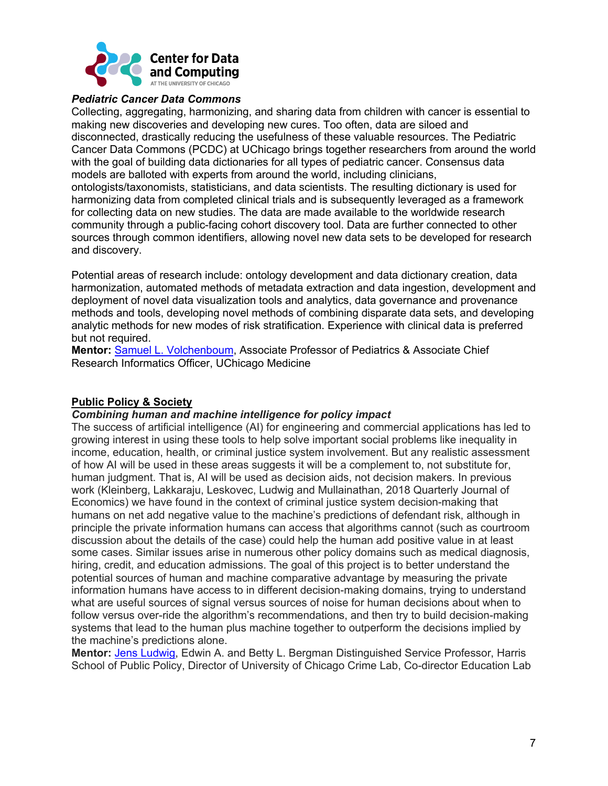

#### *Pediatric Cancer Data Commons*

Collecting, aggregating, harmonizing, and sharing data from children with cancer is essential to making new discoveries and developing new cures. Too often, data are siloed and disconnected, drastically reducing the usefulness of these valuable resources. The Pediatric Cancer Data Commons (PCDC) at UChicago brings together researchers from around the world with the goal of building data dictionaries for all types of pediatric cancer. Consensus data models are balloted with experts from around the world, including clinicians, ontologists/taxonomists, statisticians, and data scientists. The resulting dictionary is used for harmonizing data from completed clinical trials and is subsequently leveraged as a framework for collecting data on new studies. The data are made available to the worldwide research community through a public-facing cohort discovery tool. Data are further connected to other sources through common identifiers, allowing novel new data sets to be developed for research and discovery.

Potential areas of research include: ontology development and data dictionary creation, data harmonization, automated methods of metadata extraction and data ingestion, development and deployment of novel data visualization tools and analytics, data governance and provenance methods and tools, developing novel methods of combining disparate data sets, and developing analytic methods for new modes of risk stratification. Experience with clinical data is preferred but not required.

**Mentor:** Samuel L. Volchenboum, Associate Professor of Pediatrics & Associate Chief Research Informatics Officer, UChicago Medicine

## **Public Policy & Society**

#### *Combining human and machine intelligence for policy impact*

The success of artificial intelligence (AI) for engineering and commercial applications has led to growing interest in using these tools to help solve important social problems like inequality in income, education, health, or criminal justice system involvement. But any realistic assessment of how AI will be used in these areas suggests it will be a complement to, not substitute for, human judgment. That is, AI will be used as decision aids, not decision makers. In previous work (Kleinberg, Lakkaraju, Leskovec, Ludwig and Mullainathan, 2018 Quarterly Journal of Economics) we have found in the context of criminal justice system decision-making that humans on net add negative value to the machine's predictions of defendant risk, although in principle the private information humans can access that algorithms cannot (such as courtroom discussion about the details of the case) could help the human add positive value in at least some cases. Similar issues arise in numerous other policy domains such as medical diagnosis, hiring, credit, and education admissions. The goal of this project is to better understand the potential sources of human and machine comparative advantage by measuring the private information humans have access to in different decision-making domains, trying to understand what are useful sources of signal versus sources of noise for human decisions about when to follow versus over-ride the algorithm's recommendations, and then try to build decision-making systems that lead to the human plus machine together to outperform the decisions implied by the machine's predictions alone.

**Mentor:** Jens Ludwig, Edwin A. and Betty L. Bergman Distinguished Service Professor, Harris School of Public Policy, Director of University of Chicago Crime Lab, Co-director Education Lab